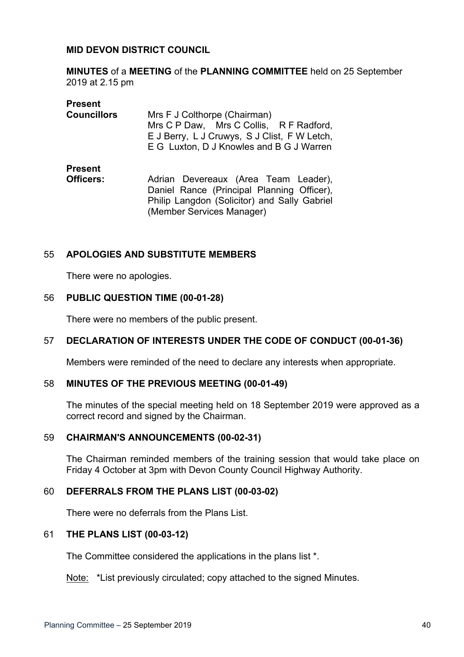## **MID DEVON DISTRICT COUNCIL**

**MINUTES** of a **MEETING** of the **PLANNING COMMITTEE** held on 25 September 2019 at 2.15 pm

| <b>Present</b>     |                                              |
|--------------------|----------------------------------------------|
| <b>Councillors</b> | Mrs F J Colthorpe (Chairman)                 |
|                    | Mrs C P Daw, Mrs C Collis, R F Radford,      |
|                    | E J Berry, L J Cruwys, S J Clist, F W Letch, |
|                    | E G Luxton, D J Knowles and B G J Warren     |
| <b>Present</b>     |                                              |
| Officers:          | Adrian Devereaux (Area Team Leader),         |
|                    | Daniel Rance (Principal Planning Officer),   |
|                    | Philip Langdon (Solicitor) and Sally Gabriel |

(Member Services Manager)

# 55 **APOLOGIES AND SUBSTITUTE MEMBERS**

There were no apologies.

## 56 **PUBLIC QUESTION TIME (00-01-28)**

There were no members of the public present.

# 57 **DECLARATION OF INTERESTS UNDER THE CODE OF CONDUCT (00-01-36)**

Members were reminded of the need to declare any interests when appropriate.

## 58 **MINUTES OF THE PREVIOUS MEETING (00-01-49)**

The minutes of the special meeting held on 18 September 2019 were approved as a correct record and signed by the Chairman.

## 59 **CHAIRMAN'S ANNOUNCEMENTS (00-02-31)**

The Chairman reminded members of the training session that would take place on Friday 4 October at 3pm with Devon County Council Highway Authority.

## 60 **DEFERRALS FROM THE PLANS LIST (00-03-02)**

There were no deferrals from the Plans List.

## 61 **THE PLANS LIST (00-03-12)**

The Committee considered the applications in the plans list \*.

Note: \*List previously circulated; copy attached to the signed Minutes.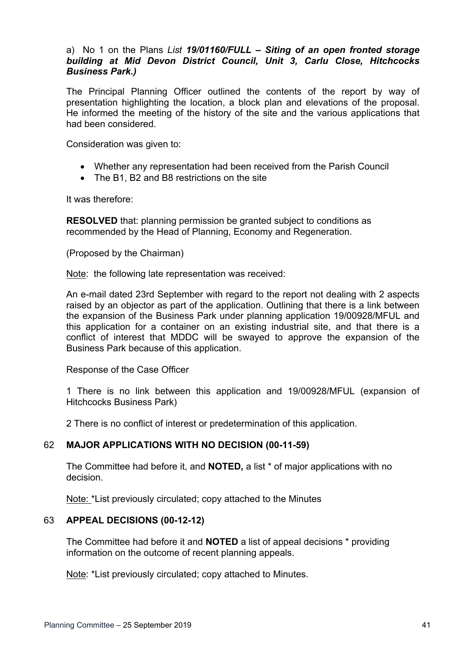# a) No 1 on the Plans *List 19/01160/FULL – Siting of an open fronted storage building at Mid Devon District Council, Unit 3, Carlu Close, Hitchcocks Business Park.)*

The Principal Planning Officer outlined the contents of the report by way of presentation highlighting the location, a block plan and elevations of the proposal. He informed the meeting of the history of the site and the various applications that had been considered.

Consideration was given to:

- Whether any representation had been received from the Parish Council
- The B1, B2 and B8 restrictions on the site

It was therefore:

**RESOLVED** that: planning permission be granted subject to conditions as recommended by the Head of Planning, Economy and Regeneration.

(Proposed by the Chairman)

Note: the following late representation was received:

An e-mail dated 23rd September with regard to the report not dealing with 2 aspects raised by an objector as part of the application. Outlining that there is a link between the expansion of the Business Park under planning application 19/00928/MFUL and this application for a container on an existing industrial site, and that there is a conflict of interest that MDDC will be swayed to approve the expansion of the Business Park because of this application.

# Response of the Case Officer

1 There is no link between this application and 19/00928/MFUL (expansion of Hitchcocks Business Park)

2 There is no conflict of interest or predetermination of this application.

# 62 **MAJOR APPLICATIONS WITH NO DECISION (00-11-59)**

The Committee had before it, and **NOTED,** a list \* of major applications with no decision.

Note: \*List previously circulated; copy attached to the Minutes

# 63 **APPEAL DECISIONS (00-12-12)**

The Committee had before it and **NOTED** a list of appeal decisions \* providing information on the outcome of recent planning appeals.

Note: \*List previously circulated; copy attached to Minutes.